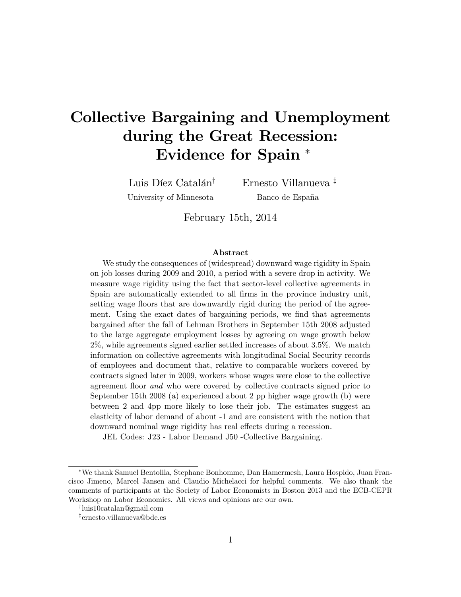# Collective Bargaining and Unemployment during the Great Recession: Evidence for Spain

Luis Díez Catalán<sup>†</sup> University of Minnesota

Ernesto Villanueva<sup> $\ddag$ </sup> Banco de España

February 15th, 2014

#### Abstract

We study the consequences of (widespread) downward wage rigidity in Spain on job losses during 2009 and 2010, a period with a severe drop in activity. We measure wage rigidity using the fact that sector-level collective agreements in Spain are automatically extended to all firms in the province industry unit, setting wage floors that are downwardly rigid during the period of the agreement. Using the exact dates of bargaining periods, we find that agreements bargained after the fall of Lehman Brothers in September 15th 2008 adjusted to the large aggregate employment losses by agreeing on wage growth below 2%, while agreements signed earlier settled increases of about 3.5%. We match information on collective agreements with longitudinal Social Security records of employees and document that, relative to comparable workers covered by contracts signed later in 2009, workers whose wages were close to the collective agreement floor *and* who were covered by collective contracts signed prior to September 15th 2008 (a) experienced about 2 pp higher wage growth (b) were between 2 and 4pp more likely to lose their job. The estimates suggest an elasticity of labor demand of about -1 and are consistent with the notion that downward nominal wage rigidity has real effects during a recession.

JEL Codes: J23 - Labor Demand J50 -Collective Bargaining.

We thank Samuel Bentolila, Stephane Bonhomme, Dan Hamermesh, Laura Hospido, Juan Francisco Jimeno, Marcel Jansen and Claudio Michelacci for helpful comments. We also thank the comments of participants at the Society of Labor Economists in Boston 2013 and the ECB-CEPR Workshop on Labor Economics. All views and opinions are our own.

y luis10catalan@gmail.com

z ernesto.villanueva@bde.es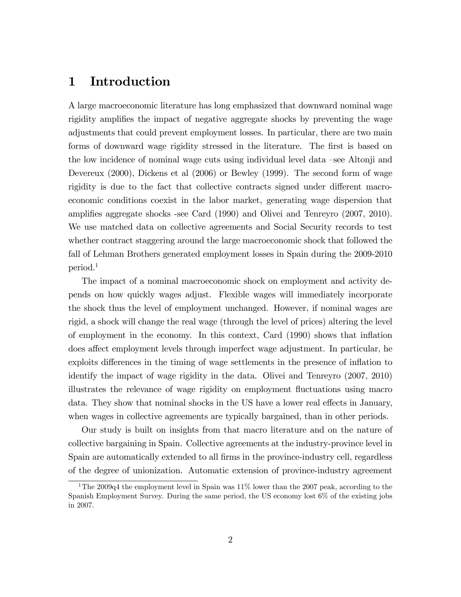# 1 Introduction

A large macroeconomic literature has long emphasized that downward nominal wage rigidity amplifies the impact of negative aggregate shocks by preventing the wage adjustments that could prevent employment losses. In particular, there are two main forms of downward wage rigidity stressed in the literature. The first is based on the low incidence of nominal wage cuts using individual level data –see Altonji and Devereux (2000), Dickens et al (2006) or Bewley (1999). The second form of wage rigidity is due to the fact that collective contracts signed under different macroeconomic conditions coexist in the labor market, generating wage dispersion that amplifies aggregate shocks -see Card (1990) and Olivei and Tenreyro (2007, 2010). We use matched data on collective agreements and Social Security records to test whether contract staggering around the large macroeconomic shock that followed the fall of Lehman Brothers generated employment losses in Spain during the 2009-2010 period.<sup>1</sup>

The impact of a nominal macroeconomic shock on employment and activity depends on how quickly wages adjust. Flexible wages will immediately incorporate the shock thus the level of employment unchanged. However, if nominal wages are rigid, a shock will change the real wage (through the level of prices) altering the level of employment in the economy. In this context, Card (1990) shows that ináation does affect employment levels through imperfect wage adjustment. In particular, he exploits differences in the timing of wage settlements in the presence of inflation to identify the impact of wage rigidity in the data. Olivei and Tenreyro (2007, 2010) illustrates the relevance of wage rigidity on employment áuctuations using macro data. They show that nominal shocks in the US have a lower real effects in January, when wages in collective agreements are typically bargained, than in other periods.

Our study is built on insights from that macro literature and on the nature of collective bargaining in Spain. Collective agreements at the industry-province level in Spain are automatically extended to all firms in the province-industry cell, regardless of the degree of unionization. Automatic extension of province-industry agreement

<sup>&</sup>lt;sup>1</sup>The 2009q4 the employment level in Spain was  $11\%$  lower than the 2007 peak, according to the Spanish Employment Survey. During the same period, the US economy lost 6% of the existing jobs in 2007.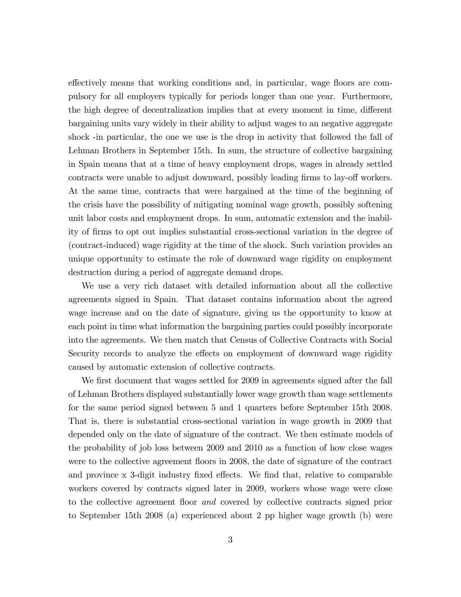effectively means that working conditions and, in particular, wage floors are compulsory for all employers typically for periods longer than one year. Furthermore, the high degree of decentralization implies that at every moment in time, different bargaining units vary widely in their ability to adjust wages to an negative aggregate shock -in particular, the one we use is the drop in activity that followed the fall of Lehman Brothers in September 15th. In sum, the structure of collective bargaining in Spain means that at a time of heavy employment drops, wages in already settled contracts were unable to adjust downward, possibly leading firms to lay-off workers. At the same time, contracts that were bargained at the time of the beginning of the crisis have the possibility of mitigating nominal wage growth, possibly softening unit labor costs and employment drops. In sum, automatic extension and the inability of Örms to opt out implies substantial cross-sectional variation in the degree of (contract-induced) wage rigidity at the time of the shock. Such variation provides an unique opportunity to estimate the role of downward wage rigidity on employment destruction during a period of aggregate demand drops.

We use a very rich dataset with detailed information about all the collective agreements signed in Spain. That dataset contains information about the agreed wage increase and on the date of signature, giving us the opportunity to know at each point in time what information the bargaining parties could possibly incorporate into the agreements. We then match that Census of Collective Contracts with Social Security records to analyze the effects on employment of downward wage rigidity caused by automatic extension of collective contracts.

We first document that wages settled for 2009 in agreements signed after the fall of Lehman Brothers displayed substantially lower wage growth than wage settlements for the same period signed between 5 and 1 quarters before September 15th 2008. That is, there is substantial cross-sectional variation in wage growth in 2009 that depended only on the date of signature of the contract. We then estimate models of the probability of job loss between 2009 and 2010 as a function of how close wages were to the collective agreement floors in 2008, the date of signature of the contract and province  $x$  3-digit industry fixed effects. We find that, relative to comparable workers covered by contracts signed later in 2009, workers whose wage were close to the collective agreement floor *and* covered by collective contracts signed prior to September 15th 2008 (a) experienced about 2 pp higher wage growth (b) were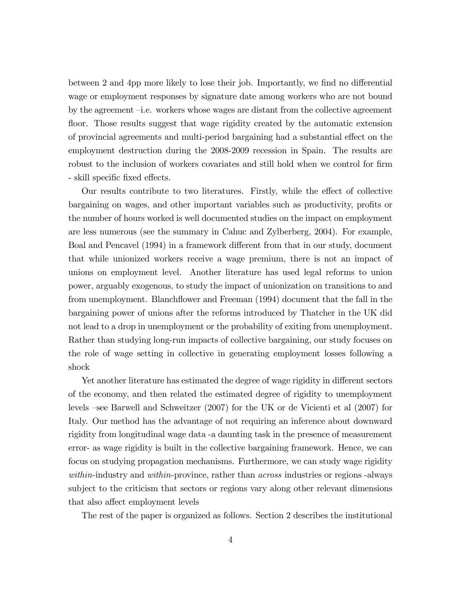between 2 and 4pp more likely to lose their job. Importantly, we find no differential wage or employment responses by signature date among workers who are not bound by the agreement  $-i.e.$  workers whose wages are distant from the collective agreement floor. Those results suggest that wage rigidity created by the automatic extension of provincial agreements and multi-period bargaining had a substantial effect on the employment destruction during the 2008-2009 recession in Spain. The results are robust to the inclusion of workers covariates and still hold when we control for firm - skill specific fixed effects.

Our results contribute to two literatures. Firstly, while the effect of collective bargaining on wages, and other important variables such as productivity, profits or the number of hours worked is well documented studies on the impact on employment are less numerous (see the summary in Cahuc and Zylberberg, 2004). For example, Boal and Pencavel (1994) in a framework different from that in our study, document that while unionized workers receive a wage premium, there is not an impact of unions on employment level. Another literature has used legal reforms to union power, arguably exogenous, to study the impact of unionization on transitions to and from unemployment. Blanchflower and Freeman (1994) document that the fall in the bargaining power of unions after the reforms introduced by Thatcher in the UK did not lead to a drop in unemployment or the probability of exiting from unemployment. Rather than studying long-run impacts of collective bargaining, our study focuses on the role of wage setting in collective in generating employment losses following a shock

Yet another literature has estimated the degree of wage rigidity in different sectors of the economy, and then related the estimated degree of rigidity to unemployment levels –see Barwell and Schweitzer  $(2007)$  for the UK or de Vicienti et al  $(2007)$  for Italy. Our method has the advantage of not requiring an inference about downward rigidity from longitudinal wage data -a daunting task in the presence of measurement error- as wage rigidity is built in the collective bargaining framework. Hence, we can focus on studying propagation mechanisms. Furthermore, we can study wage rigidity within-industry and within-province, rather than *across* industries or regions -always subject to the criticism that sectors or regions vary along other relevant dimensions that also affect employment levels

The rest of the paper is organized as follows. Section 2 describes the institutional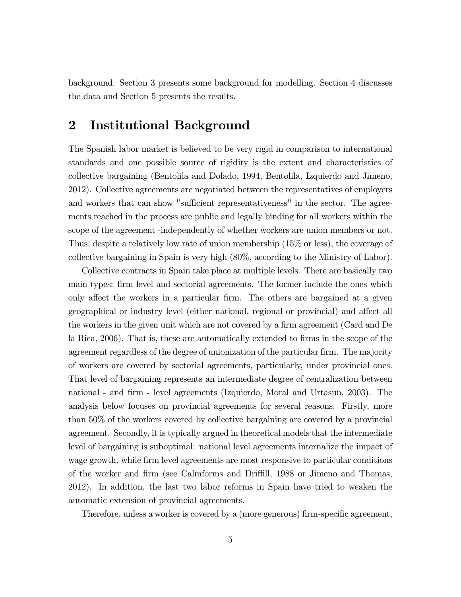background. Section 3 presents some background for modelling. Section 4 discusses the data and Section 5 presents the results.

# 2 Institutional Background

The Spanish labor market is believed to be very rigid in comparison to international standards and one possible source of rigidity is the extent and characteristics of collective bargaining (Bentolila and Dolado, 1994, Bentolila, Izquierdo and Jimeno, 2012). Collective agreements are negotiated between the representatives of employers and workers that can show "sufficient representativeness" in the sector. The agreements reached in the process are public and legally binding for all workers within the scope of the agreement -independently of whether workers are union members or not. Thus, despite a relatively low rate of union membership (15% or less), the coverage of collective bargaining in Spain is very high (80%, according to the Ministry of Labor).

Collective contracts in Spain take place at multiple levels. There are basically two main types: firm level and sectorial agreements. The former include the ones which only affect the workers in a particular firm. The others are bargained at a given geographical or industry level (either national, regional or provincial) and affect all the workers in the given unit which are not covered by a firm agreement (Card and De la Rica, 2006). That is, these are automatically extended to firms in the scope of the agreement regardless of the degree of unionization of the particular firm. The majority of workers are covered by sectorial agreements, particularly, under provincial ones. That level of bargaining represents an intermediate degree of centralization between national - and Örm - level agreements (Izquierdo, Moral and Urtasun, 2003). The analysis below focuses on provincial agreements for several reasons. Firstly, more than 50% of the workers covered by collective bargaining are covered by a provincial agreement. Secondly, it is typically argued in theoretical models that the intermediate level of bargaining is suboptimal: national level agreements internalize the impact of wage growth, while firm level agreements are most responsive to particular conditions of the worker and firm (see Calmforms and Driffill, 1988 or Jimeno and Thomas, 2012). In addition, the last two labor reforms in Spain have tried to weaken the automatic extension of provincial agreements.

Therefore, unless a worker is covered by a (more generous) firm-specific agreement,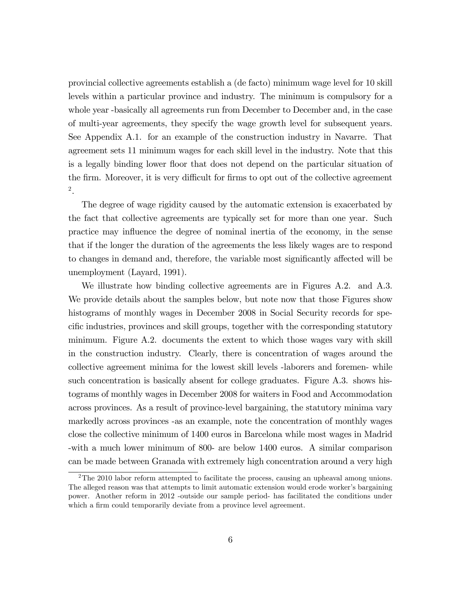provincial collective agreements establish a (de facto) minimum wage level for 10 skill levels within a particular province and industry. The minimum is compulsory for a whole year -basically all agreements run from December to December and, in the case of multi-year agreements, they specify the wage growth level for subsequent years. See Appendix A.1. for an example of the construction industry in Navarre. That agreement sets 11 minimum wages for each skill level in the industry. Note that this is a legally binding lower floor that does not depend on the particular situation of the firm. Moreover, it is very difficult for firms to opt out of the collective agreement 2 .

The degree of wage rigidity caused by the automatic extension is exacerbated by the fact that collective agreements are typically set for more than one year. Such practice may influence the degree of nominal inertia of the economy, in the sense that if the longer the duration of the agreements the less likely wages are to respond to changes in demand and, therefore, the variable most significantly affected will be unemployment (Layard, 1991).

We illustrate how binding collective agreements are in Figures A.2. and A.3. We provide details about the samples below, but note now that those Figures show histograms of monthly wages in December 2008 in Social Security records for specific industries, provinces and skill groups, together with the corresponding statutory minimum. Figure A.2. documents the extent to which those wages vary with skill in the construction industry. Clearly, there is concentration of wages around the collective agreement minima for the lowest skill levels -laborers and foremen- while such concentration is basically absent for college graduates. Figure A.3. shows histograms of monthly wages in December 2008 for waiters in Food and Accommodation across provinces. As a result of province-level bargaining, the statutory minima vary markedly across provinces -as an example, note the concentration of monthly wages close the collective minimum of 1400 euros in Barcelona while most wages in Madrid -with a much lower minimum of 800- are below 1400 euros. A similar comparison can be made between Granada with extremely high concentration around a very high

<sup>&</sup>lt;sup>2</sup>The 2010 labor reform attempted to facilitate the process, causing an upheaval among unions. The alleged reason was that attempts to limit automatic extension would erode worker's bargaining power. Another reform in 2012 -outside our sample period- has facilitated the conditions under which a firm could temporarily deviate from a province level agreement.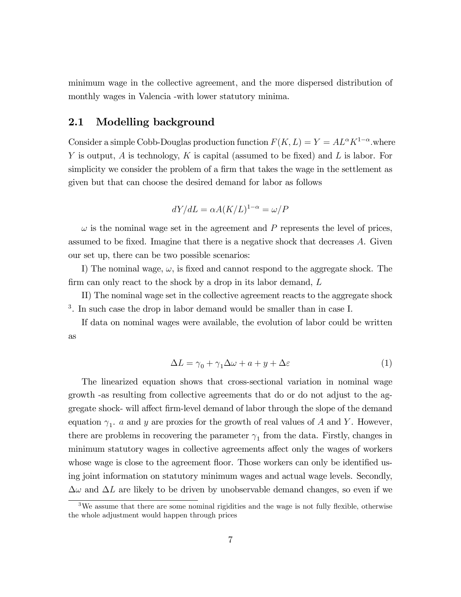minimum wage in the collective agreement, and the more dispersed distribution of monthly wages in Valencia -with lower statutory minima.

### 2.1 Modelling background

Consider a simple Cobb-Douglas production function  $F(K, L) = Y = AL^{\alpha} K^{1-\alpha}$ . where Y is output,  $A$  is technology,  $K$  is capital (assumed to be fixed) and  $L$  is labor. For simplicity we consider the problem of a firm that takes the wage in the settlement as given but that can choose the desired demand for labor as follows

$$
dY/dL = \alpha A(K/L)^{1-\alpha} = \omega/P
$$

 $\omega$  is the nominal wage set in the agreement and P represents the level of prices, assumed to be fixed. Imagine that there is a negative shock that decreases  $A$ . Given our set up, there can be two possible scenarios:

I) The nominal wage,  $\omega$ , is fixed and cannot respond to the aggregate shock. The firm can only react to the shock by a drop in its labor demand,  $L$ 

II) The nominal wage set in the collective agreement reacts to the aggregate shock <sup>3</sup>. In such case the drop in labor demand would be smaller than in case I.

If data on nominal wages were available, the evolution of labor could be written as

$$
\Delta L = \gamma_0 + \gamma_1 \Delta \omega + a + y + \Delta \varepsilon \tag{1}
$$

The linearized equation shows that cross-sectional variation in nominal wage growth -as resulting from collective agreements that do or do not adjust to the aggregate shock- will affect firm-level demand of labor through the slope of the demand equation  $\gamma_1$ , a and y are proxies for the growth of real values of A and Y. However, there are problems in recovering the parameter  $\gamma_1$  from the data. Firstly, changes in minimum statutory wages in collective agreements affect only the wages of workers whose wage is close to the agreement floor. Those workers can only be identified using joint information on statutory minimum wages and actual wage levels. Secondly,  $\Delta\omega$  and  $\Delta L$  are likely to be driven by unobservable demand changes, so even if we

 $3$ We assume that there are some nominal rigidities and the wage is not fully flexible, otherwise the whole adjustment would happen through prices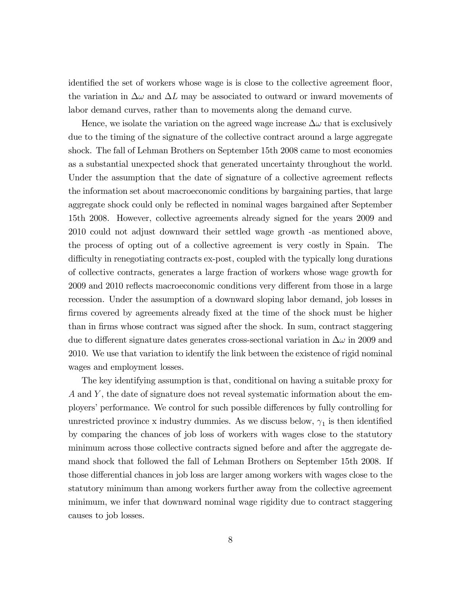identified the set of workers whose wage is is close to the collective agreement floor, the variation in  $\Delta\omega$  and  $\Delta L$  may be associated to outward or inward movements of labor demand curves, rather than to movements along the demand curve.

Hence, we isolate the variation on the agreed wage increase  $\Delta\omega$  that is exclusively due to the timing of the signature of the collective contract around a large aggregate shock. The fall of Lehman Brothers on September 15th 2008 came to most economies as a substantial unexpected shock that generated uncertainty throughout the world. Under the assumption that the date of signature of a collective agreement reflects the information set about macroeconomic conditions by bargaining parties, that large aggregate shock could only be reflected in nominal wages bargained after September 15th 2008. However, collective agreements already signed for the years 2009 and 2010 could not adjust downward their settled wage growth -as mentioned above, the process of opting out of a collective agreement is very costly in Spain. The difficulty in renegotiating contracts ex-post, coupled with the typically long durations of collective contracts, generates a large fraction of workers whose wage growth for 2009 and 2010 reflects macroeconomic conditions very different from those in a large recession. Under the assumption of a downward sloping labor demand, job losses in firms covered by agreements already fixed at the time of the shock must be higher than in firms whose contract was signed after the shock. In sum, contract staggering due to different signature dates generates cross-sectional variation in  $\Delta\omega$  in 2009 and 2010. We use that variation to identify the link between the existence of rigid nominal wages and employment losses.

The key identifying assumption is that, conditional on having a suitable proxy for A and Y , the date of signature does not reveal systematic information about the employers' performance. We control for such possible differences by fully controlling for unrestricted province x industry dummies. As we discuss below,  $\gamma_1$  is then identified by comparing the chances of job loss of workers with wages close to the statutory minimum across those collective contracts signed before and after the aggregate demand shock that followed the fall of Lehman Brothers on September 15th 2008. If those differential chances in job loss are larger among workers with wages close to the statutory minimum than among workers further away from the collective agreement minimum, we infer that downward nominal wage rigidity due to contract staggering causes to job losses.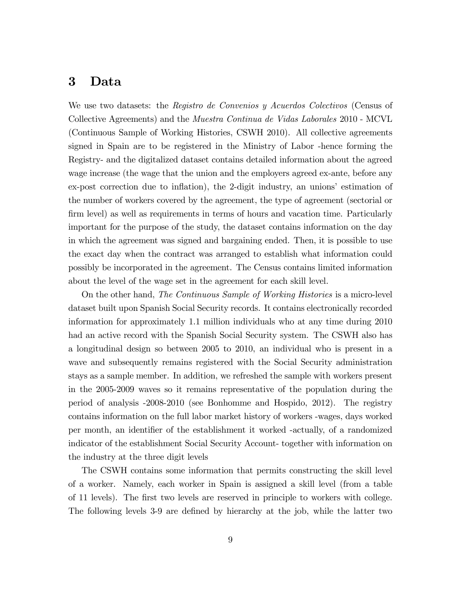# 3 Data

We use two datasets: the *Registro de Convenios y Acuerdos Colectivos* (Census of Collective Agreements) and the Muestra Continua de Vidas Laborales 2010 - MCVL (Continuous Sample of Working Histories, CSWH 2010). All collective agreements signed in Spain are to be registered in the Ministry of Labor -hence forming the Registry- and the digitalized dataset contains detailed information about the agreed wage increase (the wage that the union and the employers agreed ex-ante, before any ex-post correction due to inflation), the 2-digit industry, an unions' estimation of the number of workers covered by the agreement, the type of agreement (sectorial or firm level) as well as requirements in terms of hours and vacation time. Particularly important for the purpose of the study, the dataset contains information on the day in which the agreement was signed and bargaining ended. Then, it is possible to use the exact day when the contract was arranged to establish what information could possibly be incorporated in the agreement. The Census contains limited information about the level of the wage set in the agreement for each skill level.

On the other hand, The Continuous Sample of Working Histories is a micro-level dataset built upon Spanish Social Security records. It contains electronically recorded information for approximately 1.1 million individuals who at any time during 2010 had an active record with the Spanish Social Security system. The CSWH also has a longitudinal design so between 2005 to 2010, an individual who is present in a wave and subsequently remains registered with the Social Security administration stays as a sample member. In addition, we refreshed the sample with workers present in the 2005-2009 waves so it remains representative of the population during the period of analysis -2008-2010 (see Bonhomme and Hospido, 2012). The registry contains information on the full labor market history of workers -wages, days worked per month, an identifier of the establishment it worked -actually, of a randomized indicator of the establishment Social Security Account- together with information on the industry at the three digit levels

The CSWH contains some information that permits constructing the skill level of a worker. Namely, each worker in Spain is assigned a skill level (from a table of 11 levels). The first two levels are reserved in principle to workers with college. The following levels 3-9 are defined by hierarchy at the job, while the latter two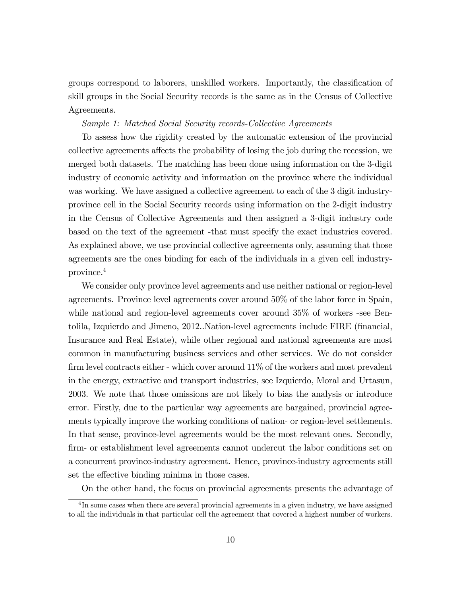groups correspond to laborers, unskilled workers. Importantly, the classification of skill groups in the Social Security records is the same as in the Census of Collective Agreements.

### Sample 1: Matched Social Security records-Collective Agreements

To assess how the rigidity created by the automatic extension of the provincial collective agreements affects the probability of losing the job during the recession, we merged both datasets. The matching has been done using information on the 3-digit industry of economic activity and information on the province where the individual was working. We have assigned a collective agreement to each of the 3 digit industryprovince cell in the Social Security records using information on the 2-digit industry in the Census of Collective Agreements and then assigned a 3-digit industry code based on the text of the agreement -that must specify the exact industries covered. As explained above, we use provincial collective agreements only, assuming that those agreements are the ones binding for each of the individuals in a given cell industryprovince.<sup>4</sup>

We consider only province level agreements and use neither national or region-level agreements. Province level agreements cover around 50% of the labor force in Spain, while national and region-level agreements cover around 35% of workers -see Bentolila, Izquierdo and Jimeno, 2012..Nation-level agreements include FIRE (Önancial, Insurance and Real Estate), while other regional and national agreements are most common in manufacturing business services and other services. We do not consider firm level contracts either - which cover around  $11\%$  of the workers and most prevalent in the energy, extractive and transport industries, see Izquierdo, Moral and Urtasun, 2003. We note that those omissions are not likely to bias the analysis or introduce error. Firstly, due to the particular way agreements are bargained, provincial agreements typically improve the working conditions of nation- or region-level settlements. In that sense, province-level agreements would be the most relevant ones. Secondly, Örm- or establishment level agreements cannot undercut the labor conditions set on a concurrent province-industry agreement. Hence, province-industry agreements still set the effective binding minima in those cases.

On the other hand, the focus on provincial agreements presents the advantage of

<sup>&</sup>lt;sup>4</sup>In some cases when there are several provincial agreements in a given industry, we have assigned to all the individuals in that particular cell the agreement that covered a highest number of workers.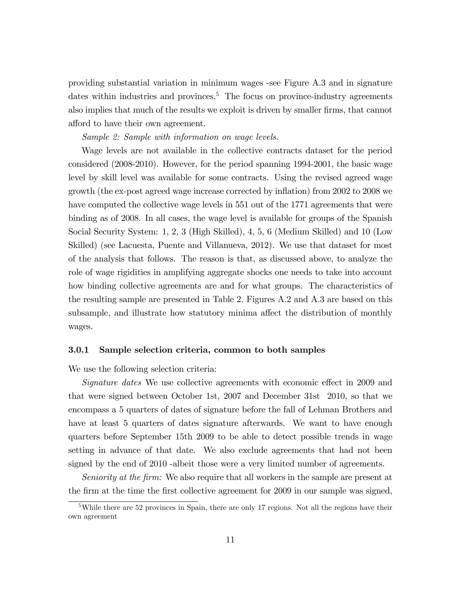providing substantial variation in minimum wages -see Figure A.3 and in signature dates within industries and provinces.<sup>5</sup> The focus on province-industry agreements also implies that much of the results we exploit is driven by smaller firms, that cannot afford to have their own agreement.

#### Sample 2: Sample with information on wage levels.

Wage levels are not available in the collective contracts dataset for the period considered (2008-2010). However, for the period spanning 1994-2001, the basic wage level by skill level was available for some contracts. Using the revised agreed wage growth (the ex-post agreed wage increase corrected by ináation) from 2002 to 2008 we have computed the collective wage levels in 551 out of the 1771 agreements that were binding as of 2008. In all cases, the wage level is available for groups of the Spanish Social Security System: 1, 2, 3 (High Skilled), 4, 5, 6 (Medium Skilled) and 10 (Low Skilled) (see Lacuesta, Puente and Villanueva, 2012). We use that dataset for most of the analysis that follows. The reason is that, as discussed above, to analyze the role of wage rigidities in amplifying aggregate shocks one needs to take into account how binding collective agreements are and for what groups. The characteristics of the resulting sample are presented in Table 2. Figures A.2 and A.3 are based on this subsample, and illustrate how statutory minima affect the distribution of monthly wages.

#### 3.0.1 Sample selection criteria, common to both samples

We use the following selection criteria:

Signature dates We use collective agreements with economic effect in 2009 and that were signed between October 1st, 2007 and December 31st 2010, so that we encompass a 5 quarters of dates of signature before the fall of Lehman Brothers and have at least 5 quarters of dates signature afterwards. We want to have enough quarters before September 15th 2009 to be able to detect possible trends in wage setting in advance of that date. We also exclude agreements that had not been signed by the end of 2010 -albeit those were a very limited number of agreements.

Seniority at the firm: We also require that all workers in the sample are present at the firm at the time the first collective agreement for 2009 in our sample was signed,

<sup>&</sup>lt;sup>5</sup>While there are 52 provinces in Spain, there are only 17 regions. Not all the regions have their own agreement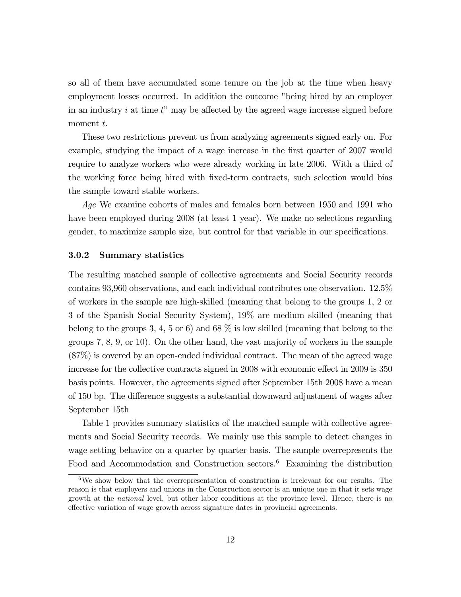so all of them have accumulated some tenure on the job at the time when heavy employment losses occurred. In addition the outcome "being hired by an employer in an industry  $i$  at time  $t$ " may be affected by the agreed wage increase signed before moment t.

These two restrictions prevent us from analyzing agreements signed early on. For example, studying the impact of a wage increase in the first quarter of 2007 would require to analyze workers who were already working in late 2006. With a third of the working force being hired with Öxed-term contracts, such selection would bias the sample toward stable workers.

Age We examine cohorts of males and females born between 1950 and 1991 who have been employed during 2008 (at least 1 year). We make no selections regarding gender, to maximize sample size, but control for that variable in our specifications.

#### 3.0.2 Summary statistics

The resulting matched sample of collective agreements and Social Security records contains 93,960 observations, and each individual contributes one observation. 12.5% of workers in the sample are high-skilled (meaning that belong to the groups 1, 2 or 3 of the Spanish Social Security System), 19% are medium skilled (meaning that belong to the groups 3, 4, 5 or 6) and 68  $\%$  is low skilled (meaning that belong to the groups 7, 8, 9, or 10). On the other hand, the vast majority of workers in the sample (87%) is covered by an open-ended individual contract. The mean of the agreed wage increase for the collective contracts signed in 2008 with economic effect in 2009 is 350 basis points. However, the agreements signed after September 15th 2008 have a mean of 150 bp. The difference suggests a substantial downward adjustment of wages after September 15th

Table 1 provides summary statistics of the matched sample with collective agreements and Social Security records. We mainly use this sample to detect changes in wage setting behavior on a quarter by quarter basis. The sample overrepresents the Food and Accommodation and Construction sectors.<sup>6</sup> Examining the distribution

 $6$ We show below that the overrepresentation of construction is irrelevant for our results. The reason is that employers and unions in the Construction sector is an unique one in that it sets wage growth at the national level, but other labor conditions at the province level. Hence, there is no effective variation of wage growth across signature dates in provincial agreements.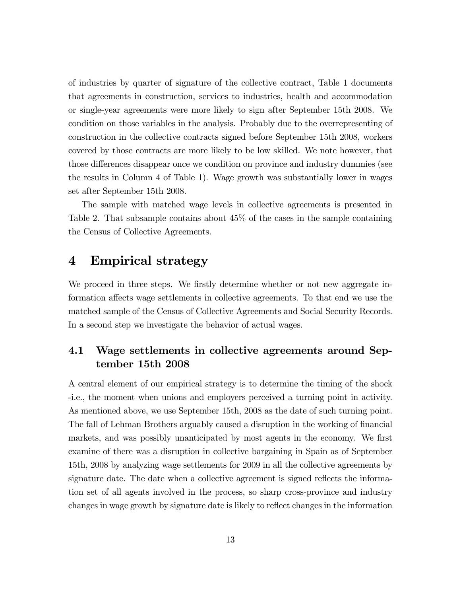of industries by quarter of signature of the collective contract, Table 1 documents that agreements in construction, services to industries, health and accommodation or single-year agreements were more likely to sign after September 15th 2008. We condition on those variables in the analysis. Probably due to the overrepresenting of construction in the collective contracts signed before September 15th 2008, workers covered by those contracts are more likely to be low skilled. We note however, that those differences disappear once we condition on province and industry dummies (see the results in Column 4 of Table 1). Wage growth was substantially lower in wages set after September 15th 2008.

The sample with matched wage levels in collective agreements is presented in Table 2. That subsample contains about 45% of the cases in the sample containing the Census of Collective Agreements.

# 4 Empirical strategy

We proceed in three steps. We firstly determine whether or not new aggregate information affects wage settlements in collective agreements. To that end we use the matched sample of the Census of Collective Agreements and Social Security Records. In a second step we investigate the behavior of actual wages.

# 4.1 Wage settlements in collective agreements around September 15th 2008

A central element of our empirical strategy is to determine the timing of the shock -i.e., the moment when unions and employers perceived a turning point in activity. As mentioned above, we use September 15th, 2008 as the date of such turning point. The fall of Lehman Brothers arguably caused a disruption in the working of financial markets, and was possibly unanticipated by most agents in the economy. We first examine of there was a disruption in collective bargaining in Spain as of September 15th, 2008 by analyzing wage settlements for 2009 in all the collective agreements by signature date. The date when a collective agreement is signed reflects the information set of all agents involved in the process, so sharp cross-province and industry changes in wage growth by signature date is likely to reflect changes in the information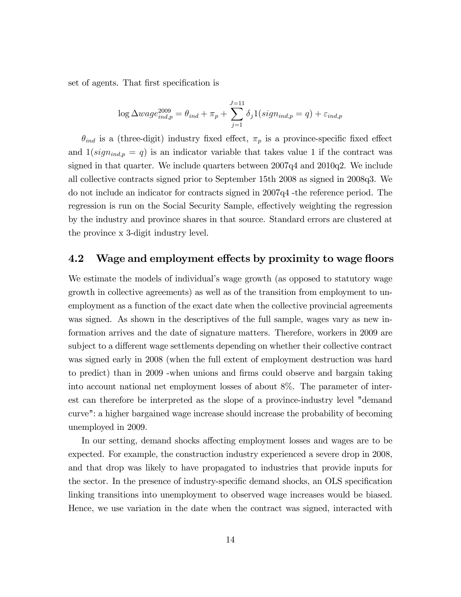set of agents. That first specification is

$$
\log \Delta wage_{ind,p}^{2009} = \theta_{ind} + \pi_p + \sum_{j=1}^{J=11} \delta_j \mathbb{1}(sign_{ind,p} = q) + \varepsilon_{ind,p}
$$

 $\theta_{ind}$  is a (three-digit) industry fixed effect,  $\pi_p$  is a province-specific fixed effect and  $1(sign<sub>ind,p</sub> = q)$  is an indicator variable that takes value 1 if the contract was signed in that quarter. We include quarters between 2007q4 and 2010q2. We include all collective contracts signed prior to September 15th 2008 as signed in 2008q3. We do not include an indicator for contracts signed in 2007q4 -the reference period. The regression is run on the Social Security Sample, effectively weighting the regression by the industry and province shares in that source. Standard errors are clustered at the province x 3-digit industry level.

### 4.2 Wage and employment effects by proximity to wage floors

We estimate the models of individual's wage growth (as opposed to statutory wage growth in collective agreements) as well as of the transition from employment to unemployment as a function of the exact date when the collective provincial agreements was signed. As shown in the descriptives of the full sample, wages vary as new information arrives and the date of signature matters. Therefore, workers in 2009 are subject to a different wage settlements depending on whether their collective contract was signed early in 2008 (when the full extent of employment destruction was hard to predict) than in 2009 -when unions and Örms could observe and bargain taking into account national net employment losses of about 8%. The parameter of interest can therefore be interpreted as the slope of a province-industry level "demand curve": a higher bargained wage increase should increase the probability of becoming unemployed in 2009.

In our setting, demand shocks affecting employment losses and wages are to be expected. For example, the construction industry experienced a severe drop in 2008, and that drop was likely to have propagated to industries that provide inputs for the sector. In the presence of industry-specific demand shocks, an OLS specification linking transitions into unemployment to observed wage increases would be biased. Hence, we use variation in the date when the contract was signed, interacted with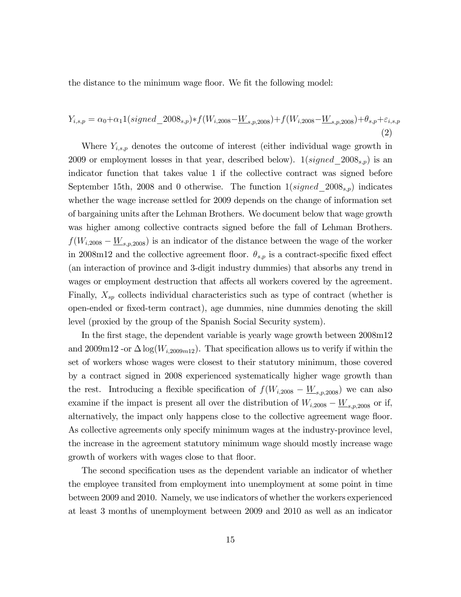the distance to the minimum wage floor. We fit the following model:

$$
Y_{i,s,p} = \alpha_0 + \alpha_1 1(\text{signed\_2008}_{s,p}) * f(W_{i,2008} - \underline{W}_{s,p,2008}) + f(W_{i,2008} - \underline{W}_{s,p,2008}) + \theta_{s,p} + \varepsilon_{i,s,p}
$$
\n
$$
\tag{2}
$$

Where  $Y_{i,s,p}$  denotes the outcome of interest (either individual wage growth in 2009 or employment losses in that year, described below).  $1(signed\_{2008_{s,p}})$  is an indicator function that takes value 1 if the collective contract was signed before September 15th, 2008 and 0 otherwise. The function  $1(signed\ 2008_{s,p})$  indicates whether the wage increase settled for 2009 depends on the change of information set of bargaining units after the Lehman Brothers. We document below that wage growth was higher among collective contracts signed before the fall of Lehman Brothers.  $f(W_{i,2008} - \underline{W}_{s,p,2008})$  is an indicator of the distance between the wage of the worker in 2008m12 and the collective agreement floor.  $\theta_{s,p}$  is a contract-specific fixed effect (an interaction of province and 3-digit industry dummies) that absorbs any trend in wages or employment destruction that affects all workers covered by the agreement. Finally,  $X_{sp}$  collects individual characteristics such as type of contract (whether is open-ended or Öxed-term contract), age dummies, nine dummies denoting the skill level (proxied by the group of the Spanish Social Security system).

In the first stage, the dependent variable is yearly wage growth between  $2008m12$ and 2009m12 -or  $\Delta \log(W_{i,2009m12})$ . That specification allows us to verify if within the set of workers whose wages were closest to their statutory minimum, those covered by a contract signed in 2008 experienced systematically higher wage growth than the rest. Introducing a flexible specification of  $f(W_{i,2008} - \underline{W}_{s,p,2008})$  we can also examine if the impact is present all over the distribution of  $W_{i,2008} - \underline{W}_{s,p,2008}$  or if, alternatively, the impact only happens close to the collective agreement wage floor. As collective agreements only specify minimum wages at the industry-province level, the increase in the agreement statutory minimum wage should mostly increase wage growth of workers with wages close to that floor.

The second specification uses as the dependent variable an indicator of whether the employee transited from employment into unemployment at some point in time between 2009 and 2010. Namely, we use indicators of whether the workers experienced at least 3 months of unemployment between 2009 and 2010 as well as an indicator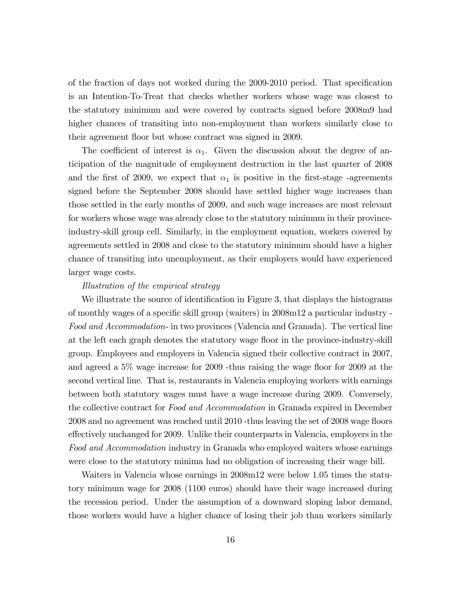of the fraction of days not worked during the 2009-2010 period. That specification is an Intention-To-Treat that checks whether workers whose wage was closest to the statutory minimum and were covered by contracts signed before 2008m9 had higher chances of transiting into non-employment than workers similarly close to their agreement áoor but whose contract was signed in 2009.

The coefficient of interest is  $\alpha_1$ . Given the discussion about the degree of anticipation of the magnitude of employment destruction in the last quarter of 2008 and the first of 2009, we expect that  $\alpha_1$  is positive in the first-stage -agreements signed before the September 2008 should have settled higher wage increases than those settled in the early months of 2009, and such wage increases are most relevant for workers whose wage was already close to the statutory minimum in their provinceindustry-skill group cell. Similarly, in the employment equation, workers covered by agreements settled in 2008 and close to the statutory minimum should have a higher chance of transiting into unemployment, as their employers would have experienced larger wage costs.

#### Illustration of the empirical strategy

We illustrate the source of identification in Figure 3, that displays the histograms of monthly wages of a specific skill group (waiters) in  $2008m12$  a particular industry -Food and Accommodation- in two provinces (Valencia and Granada). The vertical line at the left each graph denotes the statutory wage floor in the province-industry-skill group. Employees and employers in Valencia signed their collective contract in 2007, and agreed a  $5\%$  wage increase for 2009 -thus raising the wage floor for 2009 at the second vertical line. That is, restaurants in Valencia employing workers with earnings between both statutory wages must have a wage increase during 2009. Conversely, the collective contract for Food and Accommodation in Granada expired in December 2008 and no agreement was reached until 2010 -thus leaving the set of 2008 wage floors effectively unchanged for 2009. Unlike their counterparts in Valencia, employers in the Food and Accommodation industry in Granada who employed waiters whose earnings were close to the statutory minima had no obligation of increasing their wage bill.

Waiters in Valencia whose earnings in 2008m12 were below 1.05 times the statutory minimum wage for 2008 (1100 euros) should have their wage increased during the recession period. Under the assumption of a downward sloping labor demand, those workers would have a higher chance of losing their job than workers similarly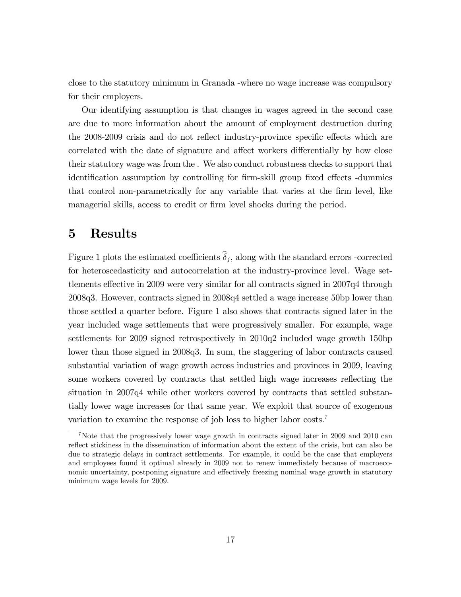close to the statutory minimum in Granada -where no wage increase was compulsory for their employers.

Our identifying assumption is that changes in wages agreed in the second case are due to more information about the amount of employment destruction during the 2008-2009 crisis and do not reflect industry-province specific effects which are correlated with the date of signature and affect workers differentially by how close their statutory wage was from the . We also conduct robustness checks to support that identification assumption by controlling for firm-skill group fixed effects -dummies that control non-parametrically for any variable that varies at the Örm level, like managerial skills, access to credit or firm level shocks during the period.

# 5 Results

Figure 1 plots the estimated coefficients  $\delta_j$ , along with the standard errors -corrected for heteroscedasticity and autocorrelation at the industry-province level. Wage settlements effective in 2009 were very similar for all contracts signed in 2007q4 through 2008q3. However, contracts signed in 2008q4 settled a wage increase 50bp lower than those settled a quarter before. Figure 1 also shows that contracts signed later in the year included wage settlements that were progressively smaller. For example, wage settlements for 2009 signed retrospectively in 2010q2 included wage growth 150bp lower than those signed in 2008q3. In sum, the staggering of labor contracts caused substantial variation of wage growth across industries and provinces in 2009, leaving some workers covered by contracts that settled high wage increases reflecting the situation in 2007q4 while other workers covered by contracts that settled substantially lower wage increases for that same year. We exploit that source of exogenous variation to examine the response of job loss to higher labor costs.<sup>7</sup>

<sup>&</sup>lt;sup>7</sup>Note that the progressively lower wage growth in contracts signed later in 2009 and 2010 can reflect stickiness in the dissemination of information about the extent of the crisis, but can also be due to strategic delays in contract settlements. For example, it could be the case that employers and employees found it optimal already in 2009 not to renew immediately because of macroeconomic uncertainty, postponing signature and effectively freezing nominal wage growth in statutory minimum wage levels for 2009.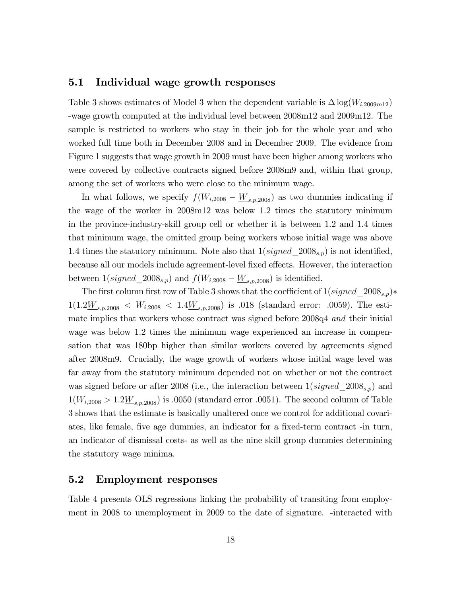### 5.1 Individual wage growth responses

Table 3 shows estimates of Model 3 when the dependent variable is  $\Delta \log(W_{i,2009m12})$ -wage growth computed at the individual level between 2008m12 and 2009m12. The sample is restricted to workers who stay in their job for the whole year and who worked full time both in December 2008 and in December 2009. The evidence from Figure 1 suggests that wage growth in 2009 must have been higher among workers who were covered by collective contracts signed before 2008m9 and, within that group, among the set of workers who were close to the minimum wage.

In what follows, we specify  $f(W_{i,2008} - W_{s,p,2008})$  as two dummies indicating if the wage of the worker in 2008m12 was below 1.2 times the statutory minimum in the province-industry-skill group cell or whether it is between 1.2 and 1.4 times that minimum wage, the omitted group being workers whose initial wage was above 1.4 times the statutory minimum. Note also that  $1(signed\_{2008_{s,p}})$  is not identified, because all our models include agreement-level fixed effects. However, the interaction between  $1(signed\_2008<sub>s,p</sub>)$  and  $f(W_{i,2008} - W_{s,p,2008})$  is identified.

The first column first row of Table 3 shows that the coefficient of  $1(signed\_{2008_{s,p}})*$  $1(1.2\underline{W}_{s,p,2008}$  <  $W_{i,2008}$  <  $1.4\underline{W}_{s,p,2008}$ ) is .018 (standard error: .0059). The estimate implies that workers whose contract was signed before 2008q4 and their initial wage was below 1.2 times the minimum wage experienced an increase in compensation that was 180bp higher than similar workers covered by agreements signed after 2008m9. Crucially, the wage growth of workers whose initial wage level was far away from the statutory minimum depended not on whether or not the contract was signed before or after 2008 (i.e., the interaction between  $1(signed\_{2008_{s,p}})$  and  $1(W_{i,2008} > 1.2 \underline{W}_{s,p,2008})$  is .0050 (standard error .0051). The second column of Table 3 shows that the estimate is basically unaltered once we control for additional covariates, like female, five age dummies, an indicator for a fixed-term contract -in turn, an indicator of dismissal costs- as well as the nine skill group dummies determining the statutory wage minima.

### 5.2 Employment responses

Table 4 presents OLS regressions linking the probability of transiting from employment in 2008 to unemployment in 2009 to the date of signature. -interacted with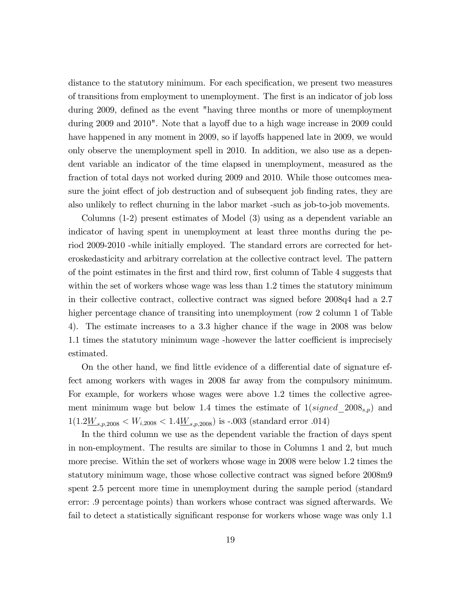distance to the statutory minimum. For each specification, we present two measures of transitions from employment to unemployment. The Örst is an indicator of job loss during 2009, defined as the event "having three months or more of unemployment during 2009 and 2010". Note that a layoff due to a high wage increase in 2009 could have happened in any moment in 2009, so if layoffs happened late in 2009, we would only observe the unemployment spell in 2010. In addition, we also use as a dependent variable an indicator of the time elapsed in unemployment, measured as the fraction of total days not worked during 2009 and 2010. While those outcomes measure the joint effect of job destruction and of subsequent job finding rates, they are also unlikely to reflect churning in the labor market -such as job-to-job movements.

Columns (1-2) present estimates of Model (3) using as a dependent variable an indicator of having spent in unemployment at least three months during the period 2009-2010 -while initially employed. The standard errors are corrected for heteroskedasticity and arbitrary correlation at the collective contract level. The pattern of the point estimates in the Örst and third row, Örst column of Table 4 suggests that within the set of workers whose wage was less than 1.2 times the statutory minimum in their collective contract, collective contract was signed before 2008q4 had a 2.7 higher percentage chance of transiting into unemployment (row 2 column 1 of Table 4). The estimate increases to a 3.3 higher chance if the wage in 2008 was below 1.1 times the statutory minimum wage -however the latter coefficient is imprecisely estimated.

On the other hand, we find little evidence of a differential date of signature effect among workers with wages in 2008 far away from the compulsory minimum. For example, for workers whose wages were above 1.2 times the collective agreement minimum wage but below 1.4 times the estimate of  $1(signed\_{2008_{s,p}})$  and  $1(1.2\underline{W}_{s,p,2008} < W_{i,2008} < 1.4\underline{W}_{s,p,2008})$  is -.003 (standard error .014)

In the third column we use as the dependent variable the fraction of days spent in non-employment. The results are similar to those in Columns 1 and 2, but much more precise. Within the set of workers whose wage in 2008 were below 1.2 times the statutory minimum wage, those whose collective contract was signed before 2008m9 spent 2.5 percent more time in unemployment during the sample period (standard error: .9 percentage points) than workers whose contract was signed afterwards. We fail to detect a statistically significant response for workers whose wage was only 1.1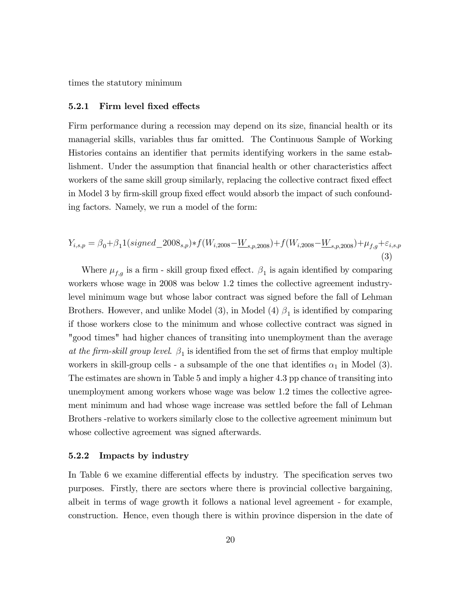times the statutory minimum

#### 5.2.1 Firm level fixed effects

Firm performance during a recession may depend on its size, financial health or its managerial skills, variables thus far omitted. The Continuous Sample of Working Histories contains an identifier that permits identifying workers in the same establishment. Under the assumption that financial health or other characteristics affect workers of the same skill group similarly, replacing the collective contract fixed effect in Model 3 by firm-skill group fixed effect would absorb the impact of such confounding factors. Namely, we run a model of the form:

$$
Y_{i,s,p} = \beta_0 + \beta_1 1(signed\_2008_{s,p}) * f(W_{i,2008} - \underline{W}_{s,p,2008}) + f(W_{i,2008} - \underline{W}_{s,p,2008}) + \mu_{f,g} + \varepsilon_{i,s,p}
$$
\n(3)

Where  $\mu_{f,g}$  is a firm - skill group fixed effect.  $\beta_1$  is again identified by comparing workers whose wage in 2008 was below 1.2 times the collective agreement industrylevel minimum wage but whose labor contract was signed before the fall of Lehman Brothers. However, and unlike Model  $(3)$ , in Model  $(4)$   $\beta_1$  is identified by comparing if those workers close to the minimum and whose collective contract was signed in "good times" had higher chances of transiting into unemployment than the average at the firm-skill group level.  $\beta_1$  is identified from the set of firms that employ multiple workers in skill-group cells - a subsample of the one that identifies  $\alpha_1$  in Model (3). The estimates are shown in Table 5 and imply a higher 4.3 pp chance of transiting into unemployment among workers whose wage was below 1.2 times the collective agreement minimum and had whose wage increase was settled before the fall of Lehman Brothers -relative to workers similarly close to the collective agreement minimum but whose collective agreement was signed afterwards.

#### 5.2.2 Impacts by industry

In Table 6 we examine differential effects by industry. The specification serves two purposes. Firstly, there are sectors where there is provincial collective bargaining, albeit in terms of wage growth it follows a national level agreement - for example, construction. Hence, even though there is within province dispersion in the date of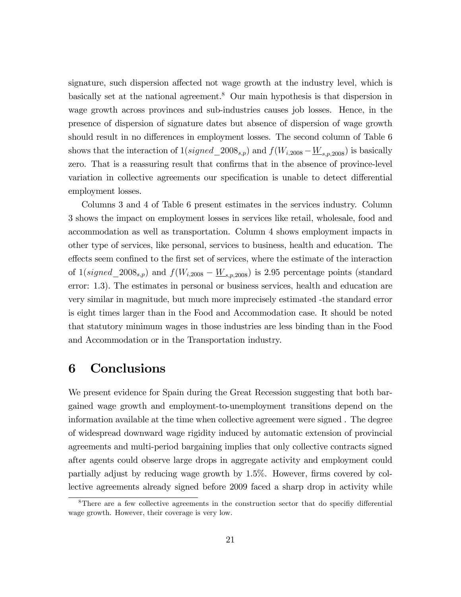signature, such dispersion affected not wage growth at the industry level, which is basically set at the national agreement.<sup>8</sup> Our main hypothesis is that dispersion in wage growth across provinces and sub-industries causes job losses. Hence, in the presence of dispersion of signature dates but absence of dispersion of wage growth should result in no differences in employment losses. The second column of Table 6 shows that the interaction of  $1(signed\_{2008s,p})$  and  $f(W_{i,2008} - W_{s,p,2008})$  is basically zero. That is a reassuring result that confirms that in the absence of province-level variation in collective agreements our specification is unable to detect differential employment losses.

Columns 3 and 4 of Table 6 present estimates in the services industry. Column 3 shows the impact on employment losses in services like retail, wholesale, food and accommodation as well as transportation. Column 4 shows employment impacts in other type of services, like personal, services to business, health and education. The effects seem confined to the first set of services, where the estimate of the interaction of  $1(signed\_2008<sub>s,p</sub>)$  and  $f(W_{i,2008} - W_{s,p,2008})$  is 2.95 percentage points (standard error: 1.3). The estimates in personal or business services, health and education are very similar in magnitude, but much more imprecisely estimated -the standard error is eight times larger than in the Food and Accommodation case. It should be noted that statutory minimum wages in those industries are less binding than in the Food and Accommodation or in the Transportation industry.

# 6 Conclusions

We present evidence for Spain during the Great Recession suggesting that both bargained wage growth and employment-to-unemployment transitions depend on the information available at the time when collective agreement were signed . The degree of widespread downward wage rigidity induced by automatic extension of provincial agreements and multi-period bargaining implies that only collective contracts signed after agents could observe large drops in aggregate activity and employment could partially adjust by reducing wage growth by 1.5%. However, firms covered by collective agreements already signed before 2009 faced a sharp drop in activity while

 $8$ There are a few collective agreements in the construction sector that do specifiv differential wage growth. However, their coverage is very low.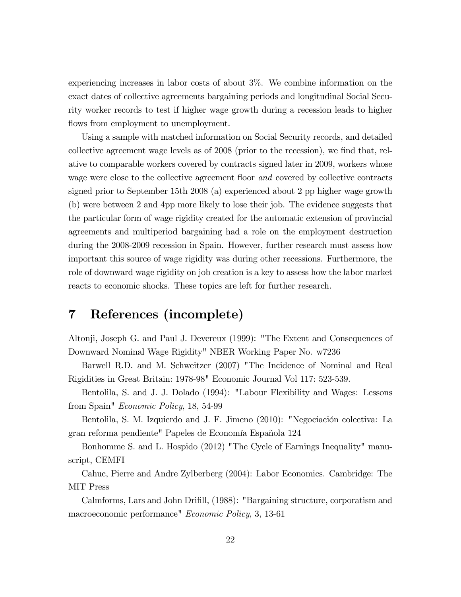experiencing increases in labor costs of about 3%. We combine information on the exact dates of collective agreements bargaining periods and longitudinal Social Security worker records to test if higher wage growth during a recession leads to higher flows from employment to unemployment.

Using a sample with matched information on Social Security records, and detailed collective agreement wage levels as of  $2008$  (prior to the recession), we find that, relative to comparable workers covered by contracts signed later in 2009, workers whose wage were close to the collective agreement floor and covered by collective contracts signed prior to September 15th 2008 (a) experienced about 2 pp higher wage growth (b) were between 2 and 4pp more likely to lose their job. The evidence suggests that the particular form of wage rigidity created for the automatic extension of provincial agreements and multiperiod bargaining had a role on the employment destruction during the 2008-2009 recession in Spain. However, further research must assess how important this source of wage rigidity was during other recessions. Furthermore, the role of downward wage rigidity on job creation is a key to assess how the labor market reacts to economic shocks. These topics are left for further research.

# 7 References (incomplete)

Altonji, Joseph G. and Paul J. Devereux (1999): "The Extent and Consequences of Downward Nominal Wage Rigidity" NBER Working Paper No. w7236

Barwell R.D. and M. Schweitzer (2007) "The Incidence of Nominal and Real Rigidities in Great Britain: 1978-98" Economic Journal Vol 117: 523-539.

Bentolila, S. and J. J. Dolado (1994): "Labour Flexibility and Wages: Lessons from Spain" Economic Policy, 18, 54-99

Bentolila, S. M. Izquierdo and J. F. Jimeno (2010): "Negociación colectiva: La gran reforma pendiente" Papeles de Economía Española 124

Bonhomme S. and L. Hospido (2012) "The Cycle of Earnings Inequality" manuscript, CEMFI

Cahuc, Pierre and Andre Zylberberg (2004): Labor Economics. Cambridge: The MIT Press

Calmforms, Lars and John Drifill, (1988): "Bargaining structure, corporatism and macroeconomic performance" Economic Policy, 3, 13-61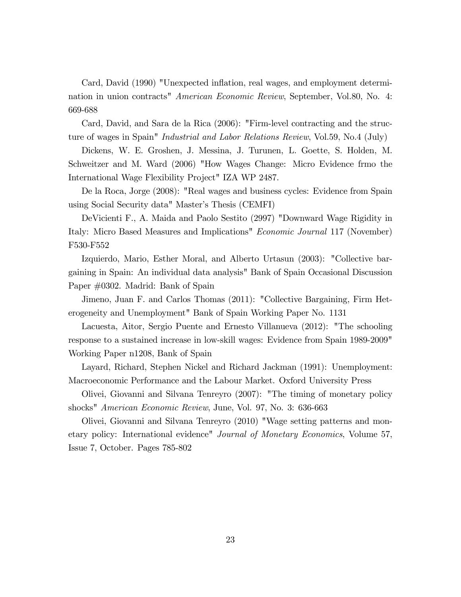Card, David (1990) "Unexpected ináation, real wages, and employment determination in union contracts" American Economic Review, September, Vol.80, No. 4: 669-688

Card, David, and Sara de la Rica (2006): "Firm-level contracting and the structure of wages in Spain" Industrial and Labor Relations Review, Vol.59, No.4 (July)

Dickens, W. E. Groshen, J. Messina, J. Turunen, L. Goette, S. Holden, M. Schweitzer and M. Ward (2006) "How Wages Change: Micro Evidence frmo the International Wage Flexibility Project" IZA WP 2487.

De la Roca, Jorge (2008): "Real wages and business cycles: Evidence from Spain using Social Security data" Master's Thesis (CEMFI)

DeVicienti F., A. Maida and Paolo Sestito (2997) "Downward Wage Rigidity in Italy: Micro Based Measures and Implications" Economic Journal 117 (November) F530-F552

Izquierdo, Mario, Esther Moral, and Alberto Urtasun (2003): "Collective bargaining in Spain: An individual data analysis" Bank of Spain Occasional Discussion Paper #0302. Madrid: Bank of Spain

Jimeno, Juan F. and Carlos Thomas (2011): "Collective Bargaining, Firm Heterogeneity and Unemployment" Bank of Spain Working Paper No. 1131

Lacuesta, Aitor, Sergio Puente and Ernesto Villanueva (2012): "The schooling response to a sustained increase in low-skill wages: Evidence from Spain 1989-2009" Working Paper n1208, Bank of Spain

Layard, Richard, Stephen Nickel and Richard Jackman (1991): Unemployment: Macroeconomic Performance and the Labour Market. Oxford University Press

Olivei, Giovanni and Silvana Tenreyro (2007): "The timing of monetary policy shocks" American Economic Review, June, Vol. 97, No. 3: 636-663

Olivei, Giovanni and Silvana Tenreyro (2010) "Wage setting patterns and monetary policy: International evidence" Journal of Monetary Economics, Volume 57, Issue 7, October. Pages 785-802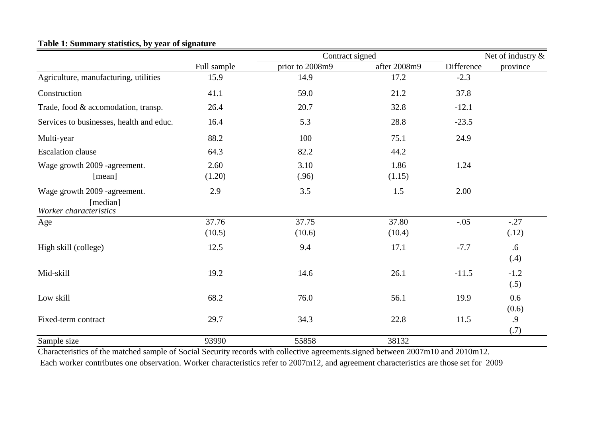|                                                                    |             | Contract signed | Net of industry $\&$ |            |                |
|--------------------------------------------------------------------|-------------|-----------------|----------------------|------------|----------------|
|                                                                    | Full sample | prior to 2008m9 | after 2008m9         | Difference | province       |
| Agriculture, manufacturing, utilities                              | 15.9        | 14.9            | 17.2                 | $-2.3$     |                |
| Construction                                                       | 41.1        | 59.0            | 21.2                 | 37.8       |                |
| Trade, food & accomodation, transp.                                | 26.4        | 20.7            | 32.8                 | $-12.1$    |                |
| Services to businesses, health and educ.                           | 16.4        | 5.3             | 28.8                 | $-23.5$    |                |
| Multi-year                                                         | 88.2        | 100             | 75.1                 | 24.9       |                |
| <b>Escalation clause</b>                                           | 64.3        | 82.2            | 44.2                 |            |                |
| Wage growth 2009 -agreement.                                       | 2.60        | 3.10            | 1.86                 | 1.24       |                |
| [mean]                                                             | (1.20)      | (.96)           | (1.15)               |            |                |
| Wage growth 2009 -agreement.<br>[median]<br>Worker characteristics | 2.9         | 3.5             | 1.5                  | 2.00       |                |
| Age                                                                | 37.76       | 37.75           | 37.80                | $-.05$     | $-.27$         |
|                                                                    | (10.5)      | (10.6)          | (10.4)               |            | (.12)          |
| High skill (college)                                               | 12.5        | 9.4             | 17.1                 | $-7.7$     | .6<br>(.4)     |
| Mid-skill                                                          | 19.2        | 14.6            | 26.1                 | $-11.5$    | $-1.2$<br>(.5) |
| Low skill                                                          | 68.2        | 76.0            | 56.1                 | 19.9       | 0.6<br>(0.6)   |
| Fixed-term contract                                                | 29.7        | 34.3            | 22.8                 | 11.5       | .9             |
|                                                                    |             |                 |                      |            | (.7)           |
| Sample size                                                        | 93990       | 55858           | 38132                |            |                |

### **Table 1: Summary statistics, by year of signature**

Characteristics of the matched sample of Social Security records with collective agreements.signed between 2007m10 and 2010m12. Each worker contributes one observation. Worker characteristics refer to 2007m12, and agreement characteristics are those set for 2009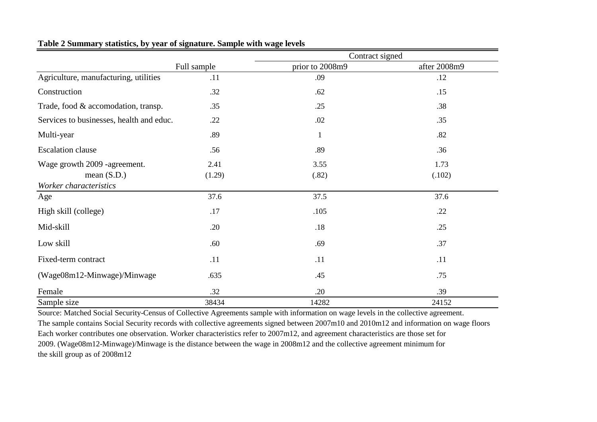|                                               |                | Contract signed |                |
|-----------------------------------------------|----------------|-----------------|----------------|
|                                               | Full sample    | prior to 2008m9 | after 2008m9   |
| Agriculture, manufacturing, utilities         | .11            | .09             | .12            |
| Construction                                  | .32            | .62             | .15            |
| Trade, food & accomodation, transp.           | .35            | .25             | .38            |
| Services to businesses, health and educ.      | .22            | .02             | .35            |
| Multi-year                                    | .89            | 1               | .82            |
| <b>Escalation</b> clause                      | .56            | .89             | .36            |
| Wage growth 2009 -agreement.<br>mean $(S.D.)$ | 2.41<br>(1.29) | 3.55<br>(.82)   | 1.73<br>(.102) |
| Worker characteristics                        |                |                 |                |
| Age                                           | 37.6           | 37.5            | 37.6           |
| High skill (college)                          | .17            | .105            | .22            |
| Mid-skill                                     | .20            | .18             | .25            |
| Low skill                                     | .60            | .69             | .37            |
| Fixed-term contract                           | .11            | .11             | .11            |
| (Wage08m12-Minwage)/Minwage                   | .635           | .45             | .75            |
| Female                                        | .32            | .20             | .39            |
| Sample size                                   | 38434          | 14282           | 24152          |

### **Table 2 Summary statistics, by year of signature. Sample with wage levels**

Source: Matched Social Security-Census of Collective Agreements sample with information on wage levels in the collective agreement. The sample contains Social Security records with collective agreements signed between 2007m10 and 2010m12 and information on wage floors Each worker contributes one observation. Worker characteristics refer to 2007m12, and agreement characteristics are those set for 2009. (Wage08m12-Minwage)/Minwage is the distance between the wage in 2008m12 and the collective agreement minimum for the skill group as of 2008m12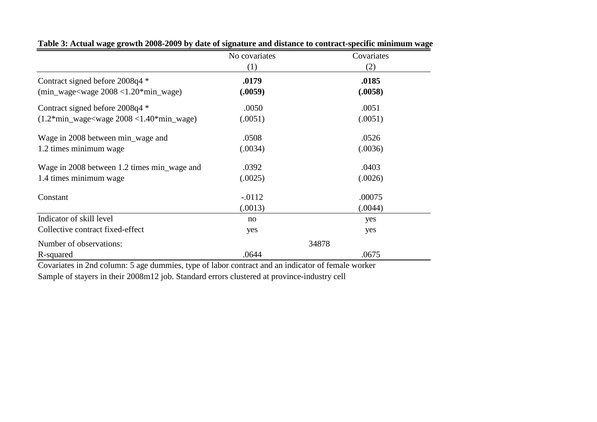|                                                                   | No covariates | Covariates |
|-------------------------------------------------------------------|---------------|------------|
|                                                                   | (1)           | (2)        |
| Contract signed before 2008q4 *                                   | .0179         | .0185      |
| $(min_{\text{wage}}<$ wage $2008 < 1.20$ *min $_{\text{wage}}$ )  | (.0059)       | (.0058)    |
| Contract signed before 2008q4 *                                   | .0050         | .0051      |
| $(1.2*min_{\text{wage}}<\text{wage }2008<1.40*min_{\text{wage}})$ | (.0051)       | (.0051)    |
| Wage in 2008 between min_wage and                                 | .0508         | .0526      |
| 1.2 times minimum wage                                            | (.0034)       | (.0036)    |
| Wage in 2008 between 1.2 times min_wage and                       | .0392         | .0403      |
| 1.4 times minimum wage                                            | (.0025)       | (.0026)    |
| Constant                                                          | $-.0112$      | .00075     |
|                                                                   | (.0013)       | (.0044)    |
| Indicator of skill level                                          | no            | yes        |
| Collective contract fixed-effect                                  | yes           | yes        |
| Number of observations:                                           |               | 34878      |
| R-squared                                                         | .0644         | .0675      |

**Table 3: Actual wage growth 2008-2009 by date of signature and distance to contract-specific minimum wage**

Covariates in 2nd column: 5 age dummies, type of labor contract and an indicator of female worker Sample of stayers in their 2008m12 job. Standard errors clustered at province-industry cell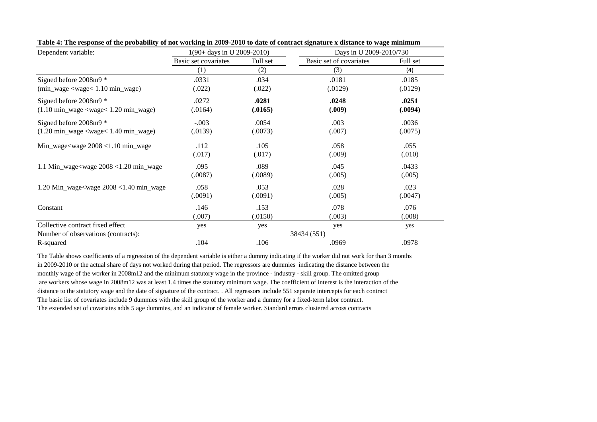| Dependent variable:                                                  | $1(90 + days in U 2009-2010)$ |          |                         | Days in U 2009-2010/730 |  |  |
|----------------------------------------------------------------------|-------------------------------|----------|-------------------------|-------------------------|--|--|
|                                                                      | Basic set covariates          | Full set | Basic set of covariates | Full set                |  |  |
|                                                                      | (1)                           | (2)      | (3)                     | (4)                     |  |  |
| Signed before 2008m9 *                                               | .0331                         | .034     | .0181                   | .0185                   |  |  |
| $(min_{\text{wage}} < \text{wage} < 1.10 \text{ min}_{\text{wage}})$ | (.022)                        | (.022)   | (.0129)                 | (.0129)                 |  |  |
| Signed before $2008m9*$                                              | .0272                         | .0281    | .0248                   | .0251                   |  |  |
| $(1.10 \text{ min\_wage} < \text{wage} < 1.20 \text{ min\_wage})$    | (.0164)                       | (.0165)  | (.009)                  | (.0094)                 |  |  |
| Signed before $2008m9*$                                              | $-.003$                       | .0054    | .003                    | .0036                   |  |  |
| $(1.20 \text{ min\_wage} < \text{wage} < 1.40 \text{ min\_wage})$    | (.0139)                       | (.0073)  | (.007)                  | (.0075)                 |  |  |
| Min_wage <wage <math="">2008 &lt; 1.10 min_wage</wage>               | .112                          | .105     | .058                    | .055                    |  |  |
|                                                                      | (.017)                        | (.017)   | (.009)                  | (.010)                  |  |  |
| 1.1 Min_wage <wage <math="">2008 &lt; 1.20 min_wage</wage>           | .095                          | .089     | .045                    | .0433                   |  |  |
|                                                                      | (.0087)                       | (.0089)  | (.005)                  | (.005)                  |  |  |
| 1.20 Min_wage <wage <math="">2008 &lt; 1.40 min_wage</wage>          | .058                          | .053     | .028                    | .023                    |  |  |
|                                                                      | (.0091)                       | (.0091)  | (.005)                  | (.0047)                 |  |  |
| Constant                                                             | .146                          | .153     | .078                    | .076                    |  |  |
|                                                                      | (.007)                        | (.0150)  | (.003)                  | (.008)                  |  |  |
| Collective contract fixed effect                                     | yes                           | yes      | yes                     | yes                     |  |  |
| Number of observations (contracts):                                  |                               |          | 38434 (551)             |                         |  |  |
| R-squared                                                            | .104                          | .106     | .0969                   | .0978                   |  |  |

**Table 4: The response of the probability of not working in 2009-2010 to date of contract signature x distance to wage minimum**

The Table shows coefficients of a regression of the dependent variable is either a dummy indicating if the worker did not work for than 3 months in 2009-2010 or the actual share of days not worked during that period. The regressors are dummies indicating the distance between the monthly wage of the worker in 2008m12 and the minimum statutory wage in the province - industry - skill group. The omitted group are workers whose wage in 2008m12 was at least 1.4 times the statutory minimum wage. The coefficient of interest is the interaction of the distance to the statutory wage and the date of signature of the contract. . All regressors include 551 separate intercepts for each contract The basic list of covariates include 9 dummies with the skill group of the worker and a dummy for a fixed-term labor contract. The extended set of covariates adds 5 age dummies, and an indicator of female worker. Standard errors clustered across contracts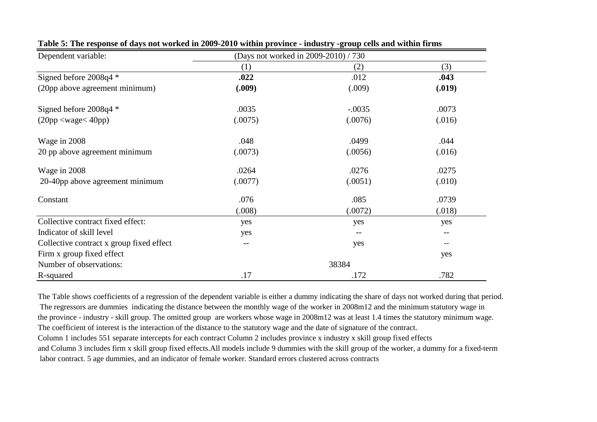| Dependent variable:                      | (Days not worked in 2009-2010) / 730 |          |        |
|------------------------------------------|--------------------------------------|----------|--------|
|                                          | (1)                                  | (2)      | (3)    |
| Signed before 2008q4 *                   | .022                                 | .012     | .043   |
| (20pp above agreement minimum)           | (.009)                               | (.009)   | (.019) |
| Signed before $2008q4$ *                 | .0035                                | $-.0035$ | .0073  |
| $(20pp \leq \text{wage} \leq 40pp)$      | (.0075)                              | (.0076)  | (.016) |
| Wage in 2008                             | .048                                 | .0499    | .044   |
| 20 pp above agreement minimum            | (.0073)                              | (.0056)  | (.016) |
| Wage in 2008                             | .0264                                | .0276    | .0275  |
| 20-40pp above agreement minimum          | (.0077)                              | (.0051)  | (.010) |
| Constant                                 | .076                                 | .085     | .0739  |
|                                          | (.008)                               | (.0072)  | (.018) |
| Collective contract fixed effect:        | yes                                  | yes      | yes    |
| Indicator of skill level                 | yes                                  | --       | --     |
| Collective contract x group fixed effect |                                      | yes      |        |
| Firm x group fixed effect                |                                      |          | yes    |
| Number of observations:                  |                                      | 38384    |        |
| R-squared                                | .17                                  | .172     | .782   |

#### **Table 5: The response of days not worked in 2009-2010 within province - industry -group cells and within firms**

The Table shows coefficients of a regression of the dependent variable is either a dummy indicating the share of days not worked during that period. The regressors are dummies indicating the distance between the monthly wage of the worker in 2008m12 and the minimum statutory wage in the province - industry - skill group. The omitted group are workers whose wage in 2008m12 was at least 1.4 times the statutory minimum wage. The coefficient of interest is the interaction of the distance to the statutory wage and the date of signature of the contract. Column 1 includes 551 separate intercepts for each contract Column 2 includes province x industry x skill group fixed effects and Column 3 includes firm x skill group fixed effects.All models include 9 dummies with the skill group of the worker, a dummy for a fixed-term labor contract. 5 age dummies, and an indicator of female worker. Standard errors clustered across contracts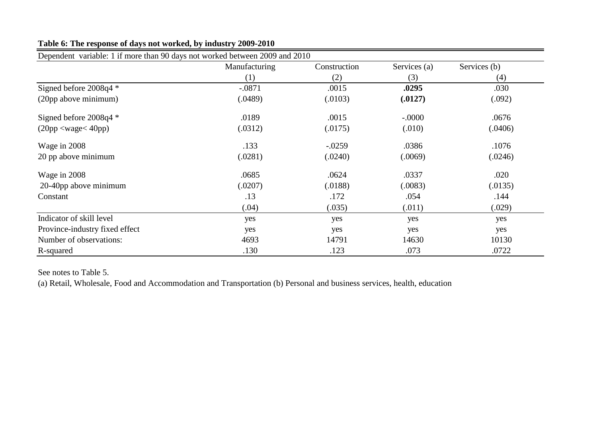| Dependent variable: 1 if more than 90 days not worked between 2009 and 2010 |               |              |              |              |  |  |
|-----------------------------------------------------------------------------|---------------|--------------|--------------|--------------|--|--|
|                                                                             | Manufacturing | Construction | Services (a) | Services (b) |  |  |
|                                                                             | (1)           | (2)          | (3)          | (4)          |  |  |
| Signed before 2008q4 *                                                      | $-.0871$      | .0015        | .0295        | .030         |  |  |
| (20pp above minimum)                                                        | (.0489)       | (.0103)      | (.0127)      | (.092)       |  |  |
| Signed before $2008q4$ *                                                    | .0189         | .0015        | $-.0000$     | .0676        |  |  |
| $(20pp \leq \text{wage} \leq 40pp)$                                         | (.0312)       | (.0175)      | (.010)       | (.0406)      |  |  |
| Wage in 2008                                                                | .133          | $-.0259$     | .0386        | .1076        |  |  |
| 20 pp above minimum                                                         | (.0281)       | (.0240)      | (.0069)      | (.0246)      |  |  |
| Wage in 2008                                                                | .0685         | .0624        | .0337        | .020         |  |  |
| 20-40pp above minimum                                                       | (.0207)       | (.0188)      | (.0083)      | (.0135)      |  |  |
| Constant                                                                    | .13           | .172         | .054         | .144         |  |  |
|                                                                             | (.04)         | (.035)       | (.011)       | (.029)       |  |  |
| Indicator of skill level                                                    | yes           | yes          | yes          | yes          |  |  |
| Province-industry fixed effect                                              | yes           | yes          | yes          | yes          |  |  |
| Number of observations:                                                     | 4693          | 14791        | 14630        | 10130        |  |  |
| R-squared                                                                   | .130          | .123         | .073         | .0722        |  |  |

## **Table 6: The response of days not worked, by industry 2009-2010**

See notes to Table 5.

(a) Retail, Wholesale, Food and Accommodation and Transportation (b) Personal and business services, health, education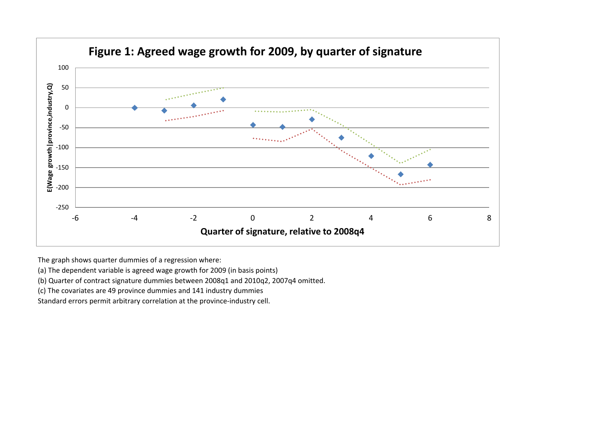

The graph shows quarter dummies of a regression where:

(a) The dependent variable is agreed wage growth for 2009 (in basis points)

(b) Quarter of contract signature dummies between 2008q1 and 2010q2, 2007q4 omitted.

(c) The covariates are 49 province dummies and 141 industry dummies

Standard errors permit arbitrary correlation at the province-industry cell.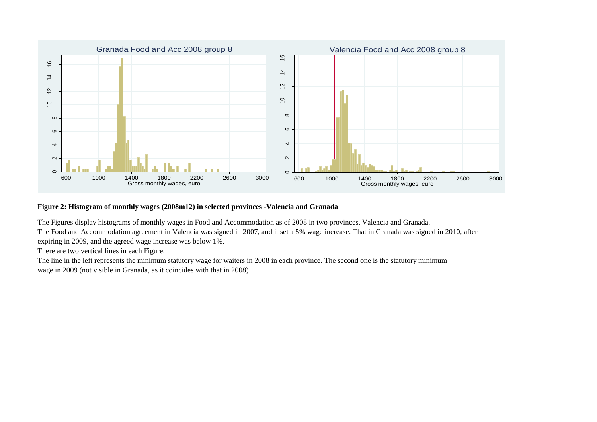

### **Figure 2: Histogram of monthly wages (2008m12) in selected provinces -Valencia and Granada**

The Figures display histograms of monthly wages in Food and Accommodation as of 2008 in two provinces, Valencia and Granada. The Food and Accommodation agreement in Valencia was signed in 2007, and it set a 5% wage increase. That in Granada was signed in 2010, after expiring in 2009, and the agreed wage increase was below 1%.

There are two vertical lines in each Figure.

The line in the left represents the minimum statutory wage for waiters in 2008 in each province. The second one is the statutory minimum wage in 2009 (not visible in Granada, as it coincides with that in 2008)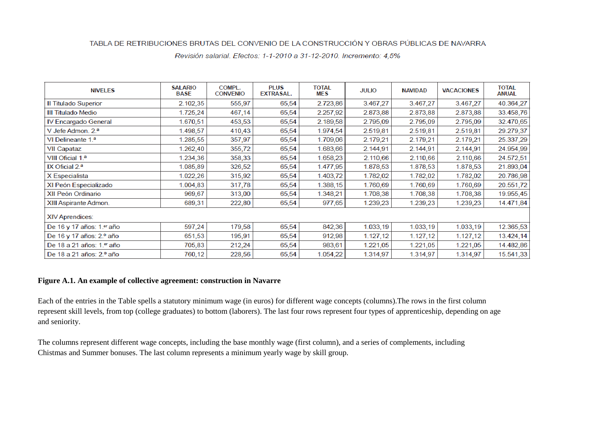#### TABLA DE RETRIBUCIONES BRUTAS DEL CONVENIO DE LA CONSTRUCCIÓN Y OBRAS PÚBLICAS DE NAVARRA

| <b>NIVELES</b>                | <b>SALARIO</b><br><b>BASE</b> | COMPL.<br><b>CONVENIO</b> | <b>PLUS</b><br><b>EXTRASAL.</b> | TOTAL<br>MES | <b>JULIO</b> | <b>NAVIDAD</b> | <b>VACACIONES</b> | <b>TOTAL</b><br><b>ANUAL</b> |
|-------------------------------|-------------------------------|---------------------------|---------------------------------|--------------|--------------|----------------|-------------------|------------------------------|
| Il Titulado Superior          | 2.102,35                      | 555,97                    | 65,54                           | 2.723,86     | 3.467,27     | 3.467,27       | 3.467,27          | 40.364,27                    |
| III Titulado Medio            | 1.725,24                      | 467,14                    | 65,54                           | 2.257,92     | 2.873,88     | 2.873,88       | 2.873,88          | 33.458,76                    |
| IV Encargado General          | 1.670,51                      | 453,53                    | 65,54                           | 2.189,58     | 2.795,09     | 2.795,09       | 2.795,09          | 32.470,65                    |
| V Jefe Admon. 2. <sup>a</sup> | 1.498,57                      | 410,43                    | 65,54                           | 1.974,54     | 2.519,81     | 2.519,81       | 2.519,81          | 29.279,37                    |
| VI Delineante 1.ª             | 1.285,55                      | 357,97                    | 65,54                           | 1.709,06     | 2.179,21     | 2.179,21       | 2.179,21          | 25.337,29                    |
| <b>VII Capataz</b>            | 1.262,40                      | 355,72                    | 65,54                           | 1.683,66     | 2.144,91     | 2.144,91       | 2.144,91          | 24.954,99                    |
| VIII Oficial 1.ª              | 1.234,36                      | 358,33                    | 65,54                           | 1.658,23     | 2.110,66     | 2.110,66       | 2.110,66          | 24.572,51                    |
| IX Oficial $2a$               | 1.085,89                      | 326,52                    | 65,54                           | 1.477,95     | 1.878,53     | 1.878,53       | 1.878,53          | 21.893,04                    |
| X Especialista                | 1.022,26                      | 315,92                    | 65,54                           | 1.403,72     | 1.782,02     | 1.782,02       | 1.782,02          | 20.786,98                    |
| XI Peón Especializado         | 1.004,83                      | 317,78                    | 65,54                           | 1.388,15     | 1.760,69     | 1.760,69       | 1.760,69          | 20.551,72                    |
| XII Peón Ordinario            | 969,67                        | 313,00                    | 65,54                           | 1.348,21     | 1.708,38     | 1.708,38       | 1.708,38          | 19.955,45                    |
| XIII Aspirante Admon.         | 689,31                        | 222,80                    | 65,54                           | 977,65       | 1.239,23     | 1.239,23       | 1.239,23          | 14.471,84                    |
| <b>XIV Aprendices:</b>        |                               |                           |                                 |              |              |                |                   |                              |
| De 16 y 17 años: 1.er año     | 597,24                        | 179,58                    | 65,54                           | 842,36       | 1.033,19     | 1.033,19       | 1.033,19          | 12.365,53                    |
| De 16 y 17 años: 2.º año      | 651,53                        | 195,91                    | 65,54                           | 912,98       | 1.127,12     | 1.127,12       | 1.127,12          | 13.424,14                    |
| De 18 a 21 años: 1.er año     | 705,83                        | 212,24                    | 65,54                           | 983,61       | 1.221,05     | 1.221,05       | 1.221,05          | 14.482,86                    |
| De 18 a 21 años: 2.º año      | 760,12                        | 228,56                    | 65,54                           | 1.054,22     | 1.314,97     | 1.314,97       | 1.314,97          | 15.541,33                    |

Revisión salarial. Efectos: 1-1-2010 a 31-12-2010. Incremento: 4,5%

#### **Figure A.1. An example of collective agreement: construction in Navarre**

Each of the entries in the Table spells a statutory minimum wage (in euros) for different wage concepts (columns).The rows in the first column represent skill levels, from top (college graduates) to bottom (laborers). The last four rows represent four types of apprenticeship, depending on age and seniority.

The columns represent different wage concepts, including the base monthly wage (first column), and a series of complements, including Chistmas and Summer bonuses. The last column represents a minimum yearly wage by skill group.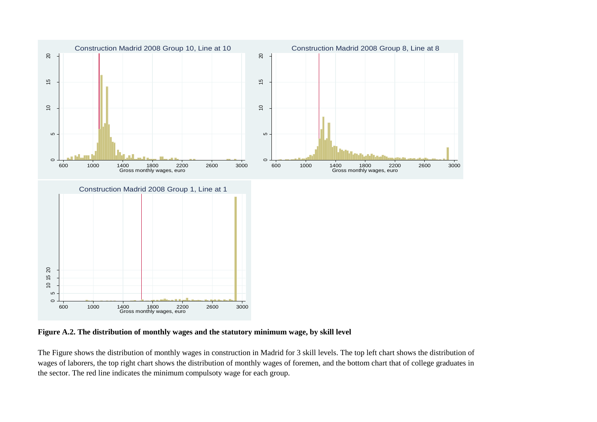

**Figure A.2. The distribution of monthly wages and the statutory minimum wage, by skill level**

The Figure shows the distribution of monthly wages in construction in Madrid for 3 skill levels. The top left chart shows the distribution of wages of laborers, the top right chart shows the distribution of monthly wages of foremen, and the bottom chart that of college graduates in the sector. The red line indicates the minimum compulsoty wage for each group.